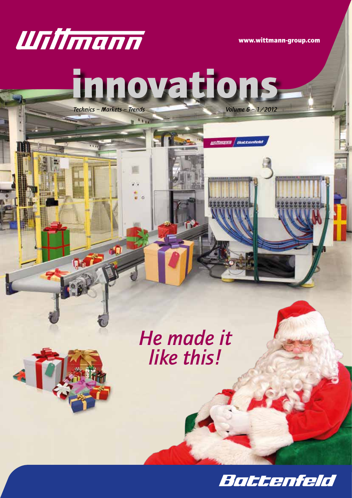

www.wittmann-group.com

<u>Ulitmann Bottenfeld</u>

# nnovations

*Technics – Markets – Trends Volume 6 – 1/2012*

 $\sqrt{1}$ 

o0

**Deres** 

# *He made it like this!*

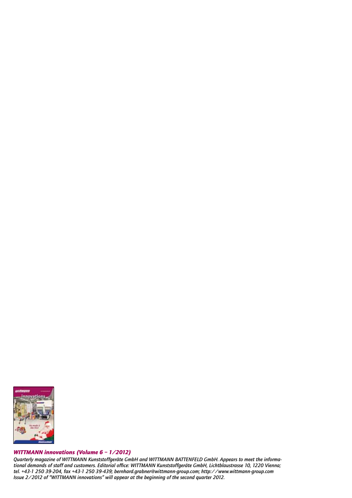

#### *WITTMANN innovations (Volume 6 – 1/2012)*

*Quarterly magazine of WITTMANN Kunststoffgeräte GmbH and WITTMANN BATTENFELD GmbH. Appears to meet the informational demands of staff and customers. Editorial office: WITTMANN Kunststoffgeräte GmbH, Lichtblaustrasse 10, 1220 Vienna; tel. +43-1 250 39-204, fax +43-1 250 39-439; bernhard.grabner@wittmann-group.com; http://www.wittmann-group.com Issue 2/2012 of "WITTMANN innovations" will appear at the beginning of the second quarter 2012.*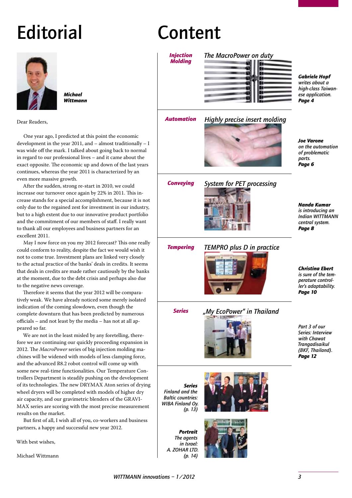# **Editorial**



*Michael Wittmann*

Dear Readers,

One year ago, I predicted at this point the economic development in the year 2011, and – almost traditionally – I was wide off the mark. I talked about going back to normal in regard to our professional lives – and it came about the exact opposite. The economic up and down of the last years continues, whereas the year 2011 is characterized by an even more massive growth.

After the sudden, strong re-start in 2010, we could increase our turnover once again by 22% in 2011. This increase stands for a special accomplishment, because it is not only due to the regained zest for investment in our industry, but to a high extent due to our innovative product portfolio and the commitment of our members of staff. I really want to thank all our employees and business partners for an excellent 2011.

May I now force on you my 2012 forecast? This one really could conform to reality, despite the fact we would wish it not to come true. Investment plans are linked very closely to the actual practice of the banks' deals in credits. It seems that deals in credits are made rather cautiously by the banks at the moment, due to the debt crisis and perhaps also due to the negative news coverage.

Therefore it seems that the year 2012 will be comparatively weak. We have already noticed some merely isolated indication of the coming slowdown, even though the complete downturn that has been predicted by numerous officials – and not least by the media – has not at all appeared so far.

We are not in the least misled by any foretelling, therefore we are continuing our quickly proceeding expansion in 2012. The *MacroPower* series of big injection molding machines will be widened with models of less clamping force, and the advanced R8.2 robot control will come up with some new real-time functionalities. Our Temperature Controllers Department is steadily pushing on the development of its technologies. The new DRYMAX Aton series of drying wheel dryers will be completed with models of higher dry air capacity, and our gravimetric blenders of the GRAVI-MAX series are scoring with the most precise measurement results on the market.

But first of all, I wish all of you, co-workers and business partners, a happy and successful new year 2012.

With best wishes,

Michael Wittmann

# Content



*Molding The MacroPower on duty*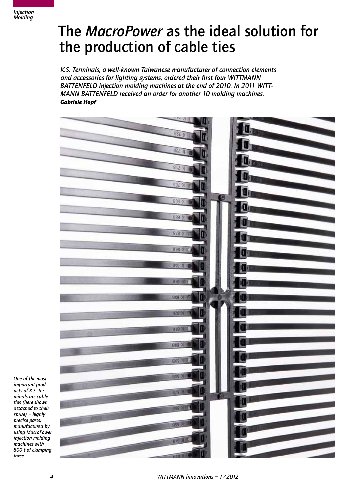### The *MacroPower* as the ideal solution for the production of cable ties

*K.S. Terminals, a well-known Taiwanese manufacturer of connection elements and accessories for lighting systems, ordered their first four WITTMANN BATTENFELD injection molding machines at the end of 2010. In 2011 WITT-MANN BATTENFELD received an order for another 10 molding machines. Gabriele Hopf*



*One of the most important products of K.S. Terminals are cable ties (here shown attached to their sprue) – highly precise parts, manufactured by using MacroPower injection molding machines with 800 t of clamping force.*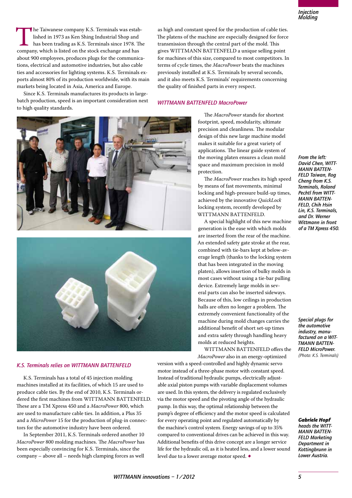The Taiwanese company K.S. Terminals was estab-<br>lished in 1973 as Ken Shing Industrial Shop and<br>has been trading as K.S. Terminals since 1978. Th<br>company, which is listed on the stock exchange and has lished in 1973 as Ken Shing Industrial Shop and has been trading as K.S. Terminals since 1978. The company, which is listed on the stock exchange and has about 900 employees, produces plugs for the communications, electrical and automotive industries, but also cable ties and accessories for lighting systems. K.S. Terminals exports almost 80% of its production worldwide, with its main markets being located in Asia, America and Europe.

Since K.S. Terminals manufactures its products in largebatch production, speed is an important consideration next to high quality standards.

as high and constant speed for the production of cable ties. The platens of the machine are especially designed for force transmission through the central part of the mold. This gives WITTMANN BATTENFELD a unique selling point for machines of this size, compared to most competitors. In terms of cycle times, the *MacroPower* beats the machines previously installed at K.S. Terminals by several seconds, and it also meets K.S. Terminals' requirements concerning the quality of finished parts in every respect.

#### *WITTMANN BATTENFELD MacroPower*





#### *K.S. Terminals relies on WITTMANN BATTENFELD*

K.S. Terminals has a total of 45 injection molding machines installed at its facilities, of which 15 are used to produce cable ties. By the end of 2010, K.S. Terminals ordered the first machines from WITTMANN BATTENFELD. These are a TM Xpress 450 and a *MacroPower* 800, which are used to manufacture cable ties. In addition, a Plus 35 and a *MicroPower* 15 for the production of plug-in connectors for the automotive industry have been ordered.

In September 2011, K.S. Terminals ordered another 10 *MacroPower* 800 molding machines. The *MacroPower* has been especially convincing for K.S. Terminals, since the company – above all – needs high clamping forces as well

The *MacroPower* stands for shortest footprint, speed, modularity, ultimate precision and cleanliness. The modular design of this new large machine model makes it suitable for a great variety of applications. The linear guide system of the moving platen ensures a clean mold space and maximum precision in mold protection.

The *MacroPower* reaches its high speed by means of fast movements, minimal locking and high-pressure build-up times, achieved by the innovative *QuickLock* locking system, recently developed by WITTMANN BATTENFELD.

A special highlight of this new machine generation is the ease with which molds are inserted from the rear of the machine. An extended safety gate stroke at the rear, combined with tie-bars kept at below-average length (thanks to the locking system that has been integrated in the moving platen), allows insertion of bulky molds in most cases without using a tie-bar pulling device. Extremely large molds in several parts can also be inserted sideways. Because of this, low ceilings in production halls are often no longer a problem. The extremely convenient functionality of the machine during mold changes carries the additional benefit of short set-up times and extra safety through handling heavy molds at reduced heights.

WITTMANN BATTENFELD offers the *MacroPower* also in an energy-optimized

version with a speed-controlled and highly dynamic servo motor instead of a three-phase motor with constant speed. Instead of traditional hydraulic pumps, electrically adjustable axial piston pumps with variable displacement volumes are used. In this system, the delivery is regulated exclusively via the motor speed and the pivoting angle of the hydraulic pump. In this way, the optimal relationship between the pump's degree of efficiency and the motor speed is calculated for every operating point and regulated automatically by the machine's control system. Energy savings of up to 35% compared to conventional drives can be achieved in this way. Additional benefits of this drive concept are a longer service life for the hydraulic oil, as it is heated less, and a lower sound level due to a lower average motor speed. •

*From the left: David Chen, WITT-MANN BATTEN-FELD Taiwan, Rog Cheng from K.S. Terminals, Roland Pechtl from WITT-MANN BATTEN-FELD, Chih Hsin Lin, K.S. Terminals, and Dr. Werner Wittmann in front of a TM Xpress 450.*

*Special plugs for the automotive industry, manufactured on a WIT-TMANN BATTEN-FELD MicroPower. (Photo: K.S. Terminals)*

*Gabriele Hopf heads the WITT-MANN BATTEN-FELD Marketing Department in Kottingbrunn in Lower Austria.*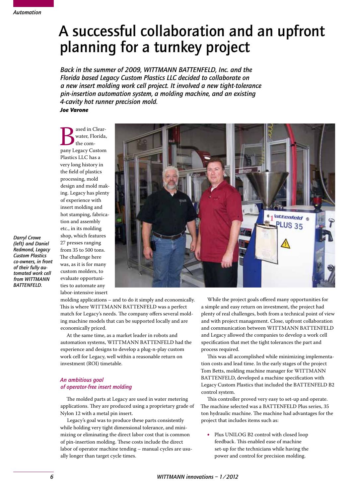*Darryl Crowe (left) and Daniel Redmond, Legacy Custom Plastics co-owners, in front of their fully automated work cell from WITTMANN BATTENFELD.*

### A successful collaboration and an upfront planning for a turnkey project

*Back in the summer of 2009, WITTMANN BATTENFELD, Inc. and the Florida based Legacy Custom Plastics LLC decided to collaborate on a new insert molding work cell project. It involved a new tight-tolerance pin-insertion automation system, a molding machine, and an existing 4-cavity hot runner precision mold.*

*Joe Varone*

Based in Clear-<br>water, Florida,<br>pany Legacy Custom water, Florida, the com-Plastics LLC has a very long history in the field of plastics processing, mold design and mold making. Legacy has plenty of experience with insert molding and hot stamping, fabrication and assembly etc., in its molding shop, which features 27 presses ranging from 35 to 500 tons. The challenge here was, as it is for many custom molders, to evaluate opportunities to automate any labor-intensive insert



molding applications – and to do it simply and economically. This is where WITTMANN BATTENFELD was a perfect match for Legacy's needs. The company offers several molding machine models that can be supported locally and are economically priced.

At the same time, as a market leader in robots and automation systems, WITTMANN BATTENFELD had the experience and designs to develop a plug-n-play custom work cell for Legacy, well within a reasonable return on investment (ROI) timetable.

#### *An ambitious goal of operator-free insert molding*

The molded parts at Legacy are used in water metering applications. They are produced using a proprietary grade of Nylon 12 with a metal pin insert.

Legacy's goal was to produce these parts consistently while holding very tight dimensional tolerance, and minimizing or eliminating the direct labor cost that is common of pin-insertion molding. These costs include the direct labor of operator machine tending – manual cycles are usually longer than target cycle times.

While the project goals offered many opportunities for a simple and easy return on investment, the project had plenty of real challenges, both from a technical point of view and with project management. Close, upfront collaboration and communication between WITTMANN BATTENFELD and Legacy allowed the companies to develop a work cell specification that met the tight tolerances the part and process required.

This was all accomplished while minimizing implementation costs and lead time. In the early stages of the project Tom Betts, molding machine manager for WITTMANN BATTENFELD, developed a machine specification with Legacy Custom Plastics that included the BATTENFELD B2 control system.

This controller proved very easy to set-up and operate. The machine selected was a BATTENFELD Plus series, 35 ton hydraulic machine. The machine had advantages for the project that includes items such as:

Plus UNILOG B2 control with closed loop feedback. This enabled ease of machine set-up for the technicians while having the power and control for precision molding.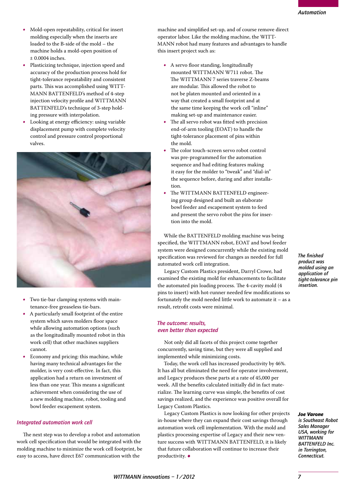- Mold-open repeatability, critical for insert molding especially when the inserts are loaded to the B-side of the mold – the machine holds a mold-open position of ± 0.0004 inches.
- Plasticizing technique, injection speed and accuracy of the production process hold for tight-tolerance repeatability and consistent parts. This was accomplished using WITT-MANN BATTENFELD's method of 4-step injection velocity profile and WITTMANN BATTENFELD's technique of 3-step holding pressure with interpolation.
- Looking at energy efficiency: using variable displacement pump with complete velocity control and pressure control proportional valves.



- Two tie-bar clamping systems with maintenance-free greaseless tie-bars.
- A particularly small footprint of the entire system which saves molders floor space while allowing automation options (such as the longitudinally mounted robot in this work cell) that other machines suppliers cannot.
- Economy and pricing: this machine, while having many technical advantages for the molder, is very cost-effective. In fact, this application had a return on investment of less than one year. This means a significant achievement when considering the use of a new molding machine, robot, tooling and bowl feeder escapement system.

#### *Integrated automation work cell*

The next step was to develop a robot and automation work cell specification that would be integrated with the molding machine to minimize the work cell footprint, be easy to access, have direct E67 communication with the

machine and simplified set-up, and of course remove direct operator labor. Like the molding machine, the WITT-MANN robot had many features and advantages to handle this insert project such as:

- • A servo floor standing, longitudinally mounted WITTMANN W711 robot. The The WITTMANN 7 series traverse Z-beams are modular. This allowed the robot to not be platen mounted and oriented in a way that created a small footprint and at the same time keeping the work cell "inline" making set-up and maintenance easier.
- The all servo robot was fitted with precision end-of-arm tooling (EOAT) to handle the tight-tolerance placement of pins within the mold.
- The color touch-screen servo robot control was pre-programmed for the automation sequence and had editing features making it easy for the molder to "tweak" and "dial-in" the sequence before, during and after installation.
- The WITTMANN BATTENFELD engineering group designed and built an elaborate bowl feeder and escapement system to feed and present the servo robot the pins for insertion into the mold.

While the BATTENFELD molding machine was being specified, the WITTMANN robot, EOAT and bowl feeder system were designed concurrently while the existing mold specification was reviewed for changes as needed for full automated work cell integration.

Legacy Custom Plastics president, Darryl Crowe, had examined the existing mold for enhancements to facilitate the automated pin loading process. The 4-cavity mold (4 pins to insert) with hot-runner needed few modifications so fortunately the mold needed little work to automate it – as a result, retrofit costs were minimal.

#### *The outcome: results, even better than expected*

Not only did all facets of this project come together concurrently, saving time, but they were all supplied and implemented while minimizing costs.

Today, the work cell has increased productivity by 46%. It has all but eliminated the need for operator involvement, and Legacy produces these parts at a rate of 45,000 per week. All the benefits calculated initially did in fact materialize. The learning curve was simple, the benefits of cost savings realized, and the experience was positive overall for Legacy Custom Plastics.

Legacy Custom Plastics is now looking for other projects in-house where they can expand their cost savings through automation work cell implementation. With the mold and plastics processing expertise of Legacy and their new venture success with WITTMANN BATTENFELD, it is likely that future collaboration will continue to increase their productivity. •

*The finished product was molded using an application of tight-tolerance pin insertion.*

#### *Joe Varone*

*is Southeast Robot Sales Manager USA, working for WITTMANN BATTENFELD Inc. in Torrington, Connecticut.*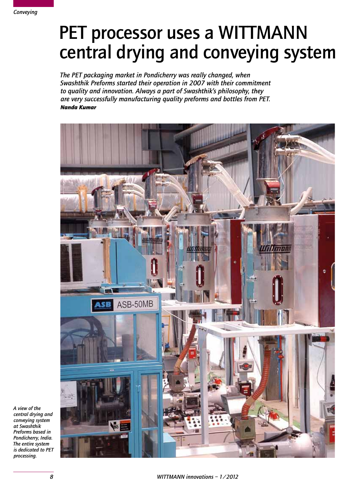# PET processor uses a WITTMANN central drying and conveying system

*The PET packaging market in Pondicherry was really changed, when Swashthik Preforms started their operation in 2007 with their commitment to quality and innovation. Always a part of Swashthik's philosophy, they are very successfully manufacturing quality preforms and bottles from PET. Nanda Kumar*



*A view of the central drying and conveying system at Swashthik Preforms based in Pondicherry, India. The entire system is dedicated to PET processing.*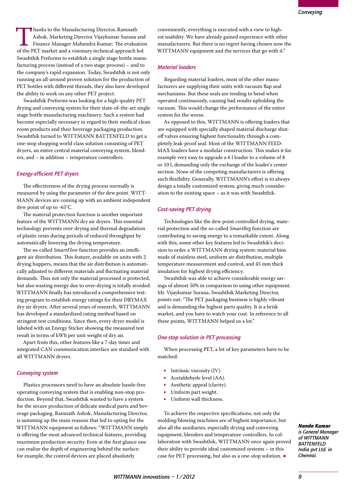Swashthik Preforms was looking for a high-quality PET drying and conveying system for their state-of-the-art single stage bottle manufacturing machinery. Such a system had become especially necessary in regard to their medical clean room products and their beverage packaging production. Swashthik turned to WITTMANN BATTENFELD to get a one-stop shopping world class solution consisting of PET dryers, an entire central material conveying system, blenders, and – in addition – temperature controllers.

#### *Energy-efficient PET dryers*

The effectiveness of the drying process normally is measured by using the parameter of the dew point. WITT-MANN devices are coming up with an ambient independent dew point of up to -65°C.

The material protection function is another important feature of the WITTMANN dry air dryers. This essential technology prevents over-drying and thermal degradation of plastic resin during periods of reduced throughput by automatically lowering the drying temperature.

The so-called *SmartFlow* function provides an intelligent air distribution. This feature, available on units with 2 drying hoppers, means that the air distribution is automatically adjusted to different materials and fluctuating material demands. Thus not only the material processed is protected, but also wasting energy due to over-drying is totally avoided. WITTMANN finally has introduced a comprehensive testing program to establish energy ratings for their DRYMAX dry air dryers. After several years of research, WITTMANN has developed a standardized rating method based on stringent test conditions. Since then, every dryer model is labeled with an Energy Sticker showing the measured test result in terms of kWh per unit weight of dry air.

Apart from this, other features like a 7-day timer and integrated CAN communication interface are standard with all WITTMANN dryers.

#### *Conveying system*

Plastics processors need to have an absolute hassle-free operating conveying system that is enabling non-stop production. Beyond that, Swashthik wanted to have a system for the secure production of delicate medical parts and beverage packaging. Ramnath Ashok, Manufacturing Director, is summing up the main reasons that led to opting for the WITTMANN equipment as follows: "WITTMANN simply is offering the most advanced technical features, providing maximum production security. Even at the first glance one can realize the depth of engineering behind the surface: for example, the control devices are placed absolutely

conveniently, everything is executed with a view to highest usability. We have already gained experience with other manufacturers. But there is no regret having chosen now the WITTMANN equipment and the services that go with it."

#### *Material loaders*

Regarding material loaders, most of the other manufacturers are supplying their units with vacuum flap seal mechanisms. But these seals are tending to bend when operated continuously, causing bad results upholding the vacuum. This would change the performance of the entire system for the worse.

As opposed to this, WITTMANN is offering loaders that are equipped with specially shaped material discharge shutoff valves ensuring highest functionality through a completely leak-proof seal. Most of the WITTMANN FEED-MAX loaders have a modular construction. This makes it for example very easy to upgrade a 6 l loader to a volume of 8 or 10 l, demanding only the exchange of the loader's center section. None of the competing manufacturers is offering such flexibility. Generally, WITTMANN's effort is to always design a totally customized system, giving much consideration to the existing space – as it was with Swashthik.

#### *Cost-saving PET drying*

Technologies like the dew point controlled drying, material protection and the so-called *SmartReg* function are contributing to saving energy to a remarkable extent. Along with this, some other key features led to Swashthik's decision to order a WITTMANN drying system: material bins made of stainless steel, uniform air distribution, multiple temperature measurement and control, and 45 mm thick insulation for highest drying efficiency.

Swashthik was able to achieve considerable energy savings of almost 50% in comparison to using other equipment. Mr. Vijaykumar Surana, Swashthik Marketing Director, points out: "The PET packaging business is highly vibrant and is demanding the highest parts quality. It is a brisk market, and you have to watch your cost. In reference to all these points, WITTMANN helped us a lot."

#### *One-stop solution in PET processing*

When processing PET, a lot of key parameters have to be matched:

- $\bullet$  Intrinsic viscosity (IV).
- Acetaldehyde level (AA).
- Aesthetic appeal (clarity).
- Uniform part weight.
- Uniform wall thickness.

To achieve the respective specifications, not only the molding/blowing machines are of highest importance, but also all the auxiliaries, especially drying and conveying equipment, blenders and temperature controllers. In collaboration with Swashthik, WITTMANN once again proved their ability to provide ideal customized systems – in this case for PET processing, but also as a one-stop solution. •

#### *Nanda Kumar is General Manager of WITTMANN BATTENFELD India pvt Ltd. in Chennai.*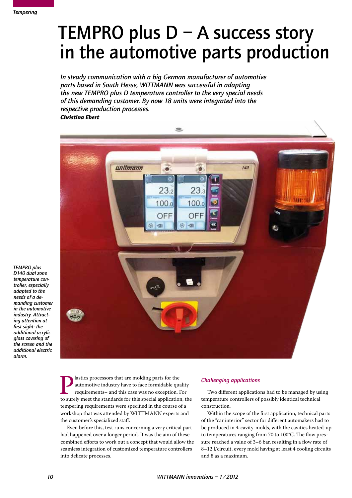# TEMPRO plus  $D - A$  success story in the automotive parts production

*In steady communication with a big German manufacturer of automotive parts based in South Hesse, WITTMANN was successful in adapting the new TEMPRO plus D temperature controller to the very special needs of this demanding customer. By now 18 units were integrated into the respective production processes. Christina Ebert*



*TEMPRO plus D140 dual zone temperature controller, especially adapted to the needs of a demanding customer in the automotive industry. Attracting attention at first sight: the additional acrylic glass covering of the screen and the additional electric alarm.*

> **P**lastics processors that are molding parts for the automotive industry have to face formidable quality requirements– and this case was no exception. For to surely meet the standards for this special application, the automotive industry have to face formidable quality requirements– and this case was no exception. For tempering requirements were specified in the course of a workshop that was attended by WITTMANN experts and the customer's specialized staff.

> Even before this, test runs concerning a very critical part had happened over a longer period. It was the aim of these combined efforts to work out a concept that would allow the seamless integration of customized temperature controllers into delicate processes.

#### *Challenging applications*

Two different applications had to be managed by using temperature controllers of possibly identical technical construction.

Within the scope of the first application, technical parts of the "car interior" sector for different automakers had to be produced in 4-cavity-molds, with the cavities heated-up to temperatures ranging from 70 to 100°C. The flow pressure reached a value of 3–6 bar, resulting in a flow rate of 8–12 l/circuit, every mold having at least 4 cooling circuits and 8 as a maximum.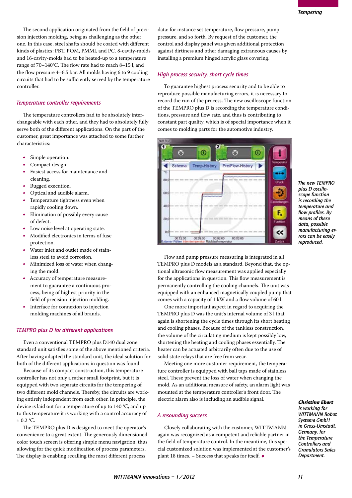The second application originated from the field of precision injection molding, being as challenging as the other one. In this case, steel shafts should be coated with different kinds of plastics: PBT, POM, PMMI, and PC. 8-cavity-molds and 16-cavity-molds had to be heated-up to a temperature range of 70–140°C. The flow rate had to reach 8–15 l, and the flow pressure 4–6.5 bar. All molds having 6 to 9 cooling circuits that had to be sufficiently served by the temperature controller.

#### *Temperature controller requirements*

The temperature controllers had to be absolutely interchangeable with each other, and they had to absolutely fully serve both of the different applications. On the part of the customer, great importance was attached to some further characteristics:

- Simple operation.
- Compact design.
- Easiest access for maintenance and cleaning.
- Rugged execution.
- Optical and audible alarm.
- Temperature tightness even when rapidly cooling down.
- Elimination of possibly every cause of defect.
- Low noise level at operating state.
- Modified electronics in terms of fuse protection.
- Water inlet and outlet made of stainless steel to avoid corrosion.
- Minimized loss of water when changing the mold.
- Accuracy of temperature measurement to guarantee a continuous process, being of highest priority in the field of precision injection molding.
- Interface for connexion to injection molding machines of all brands.

#### *TEMPRO plus D for different applications*

Even a conventional TEMPRO plus D140 dual zone standard unit satisfies some of the above mentioned criteria. After having adapted the standard unit, the ideal solution for both of the different applications in question was found.

Because of its compact construction, this temperature controller has not only a rather small footprint, but it is equipped with two separate circuits for the tempering of two different mold channels. Thereby, the circuits are working entirely independent from each other. In principle, the device is laid out for a temperature of up to 140 °C, and up to this temperature it is working with a control accuracy of  $\pm$  0.2 °C.

The TEMPRO plus D is designed to meet the operator's convenience to a great extent. The generously dimensioned color touch screen is offering simple menu navigation, thus allowing for the quick modification of process parameters. The display is enabling recalling the most different process

data: for instance set temperature, flow pressure, pump pressure, and so forth. By request of the customer, the control and display panel was given additional protection against dirtiness and other damaging extraneous causes by installing a premium hinged acrylic glass covering.

#### *High process security, short cycle times*

To guarantee highest process security and to be able to reproduce possible manufacturing errors, it is necessary to record the run of the process. The new oscilloscope function of the TEMPRO plus D is recording the temperature conditions, pressure and flow rate, and thus is contributing to constant part quality, which is of special importance when it comes to molding parts for the automotive industry.



*The new TEMPRO plus D oscilloscope function is recording the temperature and flow profiles. By means of these data, possible manufacturing errors can be easily reproduced.*

Flow and pump pressure measuring is integrated in all TEMPRO plus D models as a standard. Beyond that, the optional ultrasonic flow measurement was applied especially for the applications in question. This flow measurement is permanently controlling the cooling channels. The unit was equipped with an enhanced magnetically coupled pump that comes with a capacity of 1 kW and a flow volume of 60 l.

One more important aspect in regard to acquiring the TEMPRO plus D was the unit's internal volume of 3 l that again is shortening the cycle times through its short heating and cooling phases. Because of the tankless construction, the volume of the circulating medium is kept possibly low, shortening the heating and cooling phases essentially. The heater can be actuated arbitrarily often due to the use of solid state relays that are free from wear.

Meeting one more customer requirement, the temperature controller is equipped with ball taps made of stainless steel. These prevent the loss of water when changing the mold. As an additional measure of safety, an alarm light was mounted at the temperature controller's front door. The electric alarm also is including an audible signal.

#### *A resounding success*

Closely collaborating with the customer, WITTMANN again was recognized as a competent and reliable partner in the field of temperature control. In the meantime, this special customized solution was implemented at the customer's plant 18 times. – Success that speaks for itself.  $\bullet$ 

*Christina Ebert*

*is working for WITTMANN Robot Systeme GmbH in Gross-Umstadt, Germany, for the Temperature Controllers and Granulators Sales Department.*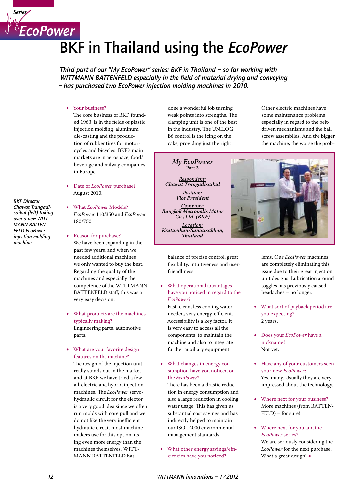

# BKF in Thailand using the *EcoPower*

*Third part of our "My EcoPower" series: BKF in Thailand – so far working with WITTMANN BATTENFELD especially in the field of material drying and conveying – has purchased two EcoPower injection molding machines in 2010.*

• Your business?

The core business of BKF, founded 1963, is in the fields of plastic injection molding, aluminum die-casting and the production of rubber tires for motorcycles and bicycles. BKF's main markets are in aerospace, food/ beverage and railway companies in Europe.

- Date of *EcoPower* purchase? August 2010.
- • What *EcoPower* Models? *EcoPower* 110/350 and *EcoPower* 180/750.
- Reason for purchase? We have been expanding in the past few years, and when we needed additional machines we only wanted to buy the best. Regarding the quality of the machines and especially the competence of the WITTMANN BATTENFELD staff, this was a very easy decision.
- What products are the machines typically making? Engineering parts, automotive parts.
- What are your favorite design features on the machine? The design of the injection unit really stands out in the market – and at BKF we have tried a few all-electric and hybrid injection machines. The *EcoPower* servohydraulic circuit for the ejector is a very good idea since we often run molds with core pull and we do not like the very inefficient hydraulic circuit most machine makers use for this option, using even more energy than the machines themselves. WITT-MANN BATTENFELD has

done a wonderful job turning weak points into strengths. The clamping unit is one of the best in the industry. The UNILOG B6 control is the icing on the cake, providing just the right

*My EcoPower* **Part 3**

*Respondent: Chawat Trangadisaikul*

> *Position: Vice President*

*Company: Bangkok Metropolis Motor Co., Ltd. (BKF)*

*Location: Kratumban/Samutsakhon, Thailand*

balance of precise control, great flexibility, intuitiveness and userfriendliness.

What operational advantages have you noticed in regard to the *EcoPower*?

Fast, clean, less cooling water needed, very energy-efficient. Accessibility is a key factor. It is very easy to access all the components, to maintain the machine and also to integrate further auxiliary equipment.

• What changes in energy consumption have you noticed on the *EcoPower*?

There has been a drastic reduction in energy consumption and also a large reduction in cooling water usage. This has given us substantial cost savings and has indirectly helped to maintain our ISO 14000 environmental management standards.

• What other energy savings/efficiencies have you noticed?

Other electric machines have some maintenance problems, especially in regard to the beltdriven mechanisms and the ball screw assemblies. And the bigger the machine, the worse the prob-



lems. Our *EcoPower* machines are completely eliminating this issue due to their great injection unit designs. Lubrication around toggles has previously caused headaches – no longer.

- What sort of payback period are you expecting? 2 years.
- • Does your *EcoPower* have a nickname? Not yet.
- Have any of your customers seen your new *EcoPower*? Yes, many. Usually they are very impressed about the technology.
- Where next for your business? More machines (from BATTEN-FELD) – for sure!
- Where next for you and the *EcoPower* series? We are seriously considering the *EcoPower* for the next purchase. What a great design!  $\bullet$

*BKF Director Chawat Trangadisaikul (left) taking over a new WITT-MANN BATTEN-FELD EcoPower injection molding machine.*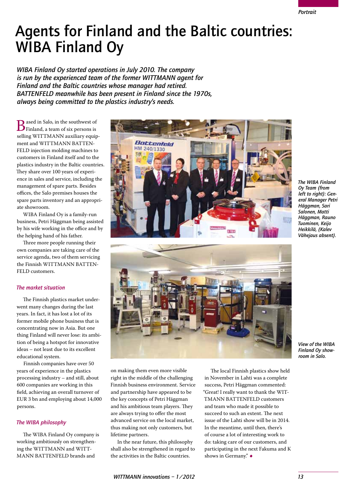## Agents for Finland and the Baltic countries: WIBA Finland Oy

*WIBA Finland Oy started operations in July 2010. The company is run by the experienced team of the former WITTMANN agent for Finland and the Baltic countries whose manager had retired. BATTENFELD meanwhile has been present in Finland since the 1970s, always being committed to the plastics industry's needs.*

**B** ased in Salo, in the southwest of<br>Finland, a team of six persons is<br>selling WITTM ANN auxiliary equip selling WITTMANN auxiliary equipment and WITTMANN BATTEN-FELD injection molding machines to customers in Finland itself and to the plastics industry in the Baltic countries. They share over 100 years of experience in sales and service, including the management of spare parts. Besides offices, the Salo premises houses the spare parts inventory and an appropriate showroom.

WIBA Finland Oy is a family-run business, Petri Häggman being assisted by his wife working in the office and by the helping hand of his father.

Three more people running their own companies are taking care of the service agenda, two of them servicing the Finnish WITTMANN BATTEN-FELD customers.

#### *The market situation*

The Finnish plastics market underwent many changes during the last years. In fact, it has lost a lot of its former mobile phone business that is concentrating now in Asia. But one thing Finland will never lose: its ambition of being a hotspot for innovative ideas – not least due to its excellent educational system.

Finnish companies have over 50 years of experience in the plastics processing industry – and still, about 600 companies are working in this field, achieving an overall turnover of EUR 3 bn and employing about 14,000 persons.

#### *The WIBA philosophy*

The WIBA Finland Oy company is working ambitiously on strengthening the WITTMANN and WITT-MANN BATTENFELD brands and



*The WIBA Finland Oy Team (from left to right): General Manager Petri Häggman, Sari Salonen, Matti Häggman, Rauno Tuominen, Keijo Heikkilä, (Kalev Vähejaus absent).*



*View of the WIBA Finland Oy showroom in Salo.*

on making them even more visible right in the middle of the challenging Finnish business environment. Service and partnership have appeared to be the key concepts of Petri Häggman and his ambitious team players. They are always trying to offer the most advanced service on the local market, thus making not only customers, but lifetime partners.

In the near future, this philosophy shall also be strengthened in regard to the activities in the Baltic countries.

The local Finnish plastics show held in November in Lahti was a complete success, Petri Häggman commented: "Great! I really want to thank the WIT-TMANN BATTENFELD customers and team who made it possible to succeed to such an extent. The next issue of the Lahti show will be in 2014. In the meantime, until then, there's of course a lot of interesting work to do: taking care of our customers, and participating in the next Fakuma and K shows in Germany." •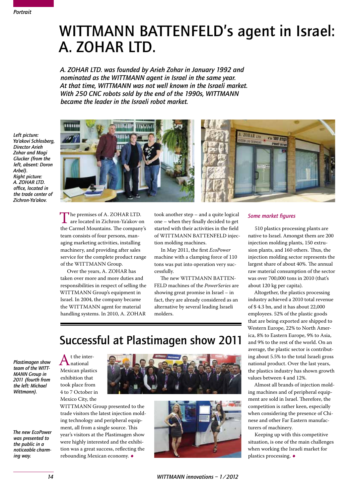### WITTMANN BATTENFELD's agent in Israel: A. ZOHAR LTD.

*A. ZOHAR LTD. was founded by Arieh Zohar in January 1992 and nominated as the WITTMANN agent in Israel in the same year. At that time, WITTMANN was not well known in the Israeli market. With 250 CNC robots sold by the end of the 1990s, WITTMANN became the leader in the Israeli robot market.*

*Left picture: Ya'akovi Schlosberg, Director Arieh Zohar and Magi Glucker (from the left, absent: Doron Arbel). Right picture: A. ZOHAR LTD. office, located in the trade center of Zichron-Ya'akov.*



The premises of A. ZOHAR LTD.<br>
are located in Zichron-Ya'akov on<br>
the Carmel Mountains. The company's the Carmel Mountains. The company's team consists of four persons, managing marketing activities, installing machinery, and providing after sales service for the complete product range of the WITTMANN Group.

Over the years, A. ZOHAR has taken over more and more duties and responsibilities in respect of selling the WITTMANN Group's equipment in Israel. In 2004, the company became the WITTMANN agent for material handling systems. In 2010, A. ZOHAR

took another step – and a quite logical one – when they finally decided to get started with their activities in the field of WITTMANN BATTENFELD injection molding machines.

In May 2011, the first *EcoPower* machine with a clamping force of 110 tons was put into operation very successfully.

The new WITTMANN BATTEN-FELD machines of the *PowerSeries* are showing great promise in Israel – in fact, they are already considered as an alternative by several leading Israeli molders.

### Successful at Plastimagen show 2011

*Plastimagen show team of the WITT-MANN Group in 2011 (fourth from the left: Michael Wittmann).*

*The new EcoPower was presented to the public in a noticeable charming way.*

 $A_{\text{national}}^{\text{t the inter-}}$ Mexican plastics national exhibition that took place from 4 to 7 October in Mexico City, the



WITTMANN Group presented to the trade visitors the latest injection molding technology and peripheral equipment, all from a single source. This year's visitors at the Plastimagen show were highly interested and the exhibition was a great success, reflecting the rebounding Mexican economy. •



#### *Some market figures*

510 plastics processing plants are native to Israel. Amongst them are 200 injection molding plants, 150 extrusion plants, and 160 others. Thus, the injection molding sector represents the largest share of about 40%. The annual raw material consumption of the sector was over 700,000 tons in 2010 (that's about 120 kg per capita).

Altogether, the plastics processing industry achieved a 2010 total revenue of \$ 4.3 bn, and it has about 22,000 employees. 52% of the plastic goods that are being exported are shipped to Western Europe, 22% to North America, 8% to Eastern Europe, 9% to Asia, and 9% to the rest of the world. On an average, the plastic sector is contributing about 5.5% to the total Israeli gross national product. Over the last years, the plastics industry has shown growth values between 4 and 12%.

Almost all brands of injection molding machines and of peripheral equipment are sold in Israel. Therefore, the competition is rather keen, especially when considering the presence of Chinese and other Far Eastern manufacturers of machinery.

Keeping up with this competitive situation, is one of the main challenges when working the Israeli market for plastics processing. •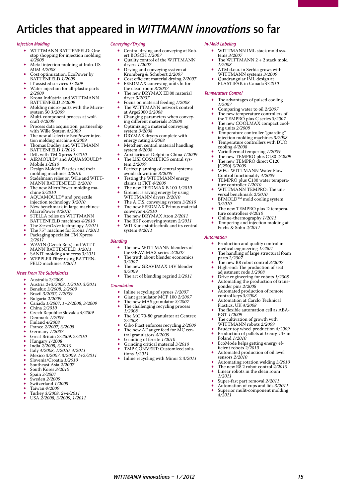### Articles that appeared in *WITTMANN innovations* so far

#### *Injection Molding*

- WITTMANN BATTENFELD: One stop shopping for injection molding *4/2008*
- Metal injection molding at Indo-US MIM *4/2008*
- Cost optimization: EcoPower by
- BATTENFELD *1/2009* • IT assisted services *1/2009*
- Water injection for all-plastic parts *2/2009*
- Krona Indústria and WITTMANN BATTENFELD *2/2009*
- • Molding micro-parts with the Micro-system 50 *3/2009*
- Multi-component process at wolfcraft *4/2009*
- Process data acquisition: partnership with Wille System *4/2009*
- The new all-electric EcoPower injec-
- tion molding machine *4/2009* • Thomas Dudley and WITTMANN BATTENFELD *1/2010*
- • IML with TM Xpress *1/2010*
- AIRMOULD® and AQUAMOULD® Mobile *1/2010*
- Design Molded Plastics and their
- molding machines *2/2010* • Stadelmann relies on Wille and WITT-MANN BATTENFELD *2/2010*
- The new MicroPower molding machine *3/2010*
- AQUAMOULD® and projectile injection technology *3/2010*
- • New benchmark in large machines: MacroPower *4/2010*
- STELLA relies on WITTMANN BATTENFELD machines *4/2010*
- • The *ServoDrive* technology *1/2011*
- The 75<sup>th</sup> machine for Krona 1/2011
- • Packaging specialist TM Xpress *2/2011*
- 
- • WAVIN (Czech Rep.) and WITT-MANN BATTENFELD *3/2011*
- SANIT molding a success  $3/2011$ WEPPLER Filter using BATTEN-FELD machines *4/2011*

#### *News From The Subsidiaries*

- • Australia *2/2008*
- • Austria *2+3/2008*, *1/2010*, *3/2011*
- • Benelux *3/2008*, *2/2009*
- • Brazil *3/2007*, *1/2009*
- • Bulgaria *2/2009*
- • Canada *1/2007*, *1+2/2008*, *3/2009* • China *2/2010*
- • Czech Republic/Slovakia *4/2009*
- • Denmark *1/2009*
- • Finland *4/2008*
- • France *2/2007*, *3/2008*
- • Germany *1/2007*
- • Great Britain *2/2009*, *2/2010*
- • Hungary *1/2008* • India *2/2008*, *3/2010*
- 
- • Italy *4/2008*, *1/2010*, *4/2011* • Mexico *3/2007*, *3/2009*, *1+2/2011*
- 
- Slovenia/Croatia  $1/2010$
- Southeast Asia  $2/2007$ South Kores  $3/2010$
- 
- • Spain *3/2007*
- Sweden 2/2009 Switzerland  $1/2008$
- • Taiwan *4/2009*
- • Turkey *3/2008*, *2+4/2011*
- USA  $2/2008$ ,  $3/2009$ ,  $1/2011$

#### *Conveying/Drying*

- • Central drying and conveying at Rob-ert BOSCH *1/2007*
- Quality control of the WITTMANN dryers *1/2007* Drying and conveying system at
- Kromberg & Schubert *2/2007*
- • Cost efficient material drying *2/2007* • FEEDMAX conveying units fit for the clean room *3/2007*
- The new DRYMAX ED80 material
- dryer *3/2007* Focus on material feeding  $1/2008$ The WITTMANN network control
- at Arge2000 *2/2008* Changing parameters when convey-
- ing different materials *2/2008* Optimizing a material conveying
- system *3/2008* DRYMAX dryers complete with
- energy rating *3/2008* Metchem central material handling
- system *4/2008* • Auxiliaries at Delphi in China *1/2009* The LISI COSMETICS central sys-
- tem *2/2009*
- Perfect planning of central systems avoids downtime *3/2009*
- • Testing the WITTMANN energy claims at FKT *4/2009* The new FEEDMAX B 100 *1/2010*
- • Greiner is saving energy by using WITTMANN dryers *2/2010*
- The A.C.S. conveying system  $3/2010$
- • Tne new FEEDMAX Primus material conveyor *4/2010*
- The new DRYMAX Aton 2/2011
- • The BKF conveying system *2/2011*
- WD Kunststofftechnik and its central system *4/2011*

#### *Blending*

- The new WITTMANN blenders of the GRAVIMAX series *2/2007*
- The truth about blender economics *3/2007*
- The new GRAVIMAX 14V blender *3/2009*
- The art of blending regrind  $3/2011$

#### *Granulation*

- Inline recycling of sprues  $1/2007$
- Giant granulator MCP 100 2/2007
- The new MAS granulator  $3/2007$
- • The challenging recycling process *1/2008*
- The MC 70-80 granulator at Centrex
- *2/2008* Gibo Plast enforces recycling  $2/2009$
- • The new AF auger feed for MC cen-tral granulators *4/2009*
- Grinding of ferrite  $1/2010$
- 
- Grinding critical material 3/2010<br>TMP CONVERT: Customized solutions *1/2011*
- Inline recycling with Minor 2 3/2011

*WITTMANN innovations – 1/2012 15*

#### *In-Mold Labeling*

- WITTMANN IML stack mold systems *3/2007*
- The WITTMANN  $2 + 2$  stack mold *1/2008* ATM d.o.o. in Serbia grows with
- WITTMANN systems *3/2009*
- • Quadrangular IML design at PLASTIPAK in Canada *4/2010*

#### *Temperature Control*

cooling *4/2008*

[C250] *3/2009*

*3/2010*

*Automation*

- The advantages of pulsed cooling *1/2007*
- Comparing water to oil  $2/2007$ The new temperature controllers of
- the TEMPRO plus C series *3/2007*<br>● The new COOLMAX compact cool-
- ing units *2/2008* Temperature controller "guarding"

• Variothermal tempering *1/2009* • The new TEMPRO plus C180 2/2009 • The new TEMPRO direct C120

WFC: WITTMANN Water Flow Control functionality *4/2009* TEMPRO plus C180 water temperature controller *1/2010*<br>• WITTMANN TEMPRO: The universal benchmark *2/2010*<br>BFMOLD™ mold cooling system

The new TEMPRO plus D tempera-

ture controllers *4/2010* • Online-thermography *1/2011* • Tempering and injection molding at Fuchs & Sohn *2/2011*

injection molding machines *3/2008* Temperature controllers with DUO

• Production and quality control in medical engineering  $1/2007$ medical engineering *1/2007* • The handling of large structural foam parts *2/2007* The new R8 robot control 3/2007 • High-end: The production of seat adjustment rods *1/2008* Drive engineering for robots  $1/2008$ • Automating the production of trans-ponder pins *2/2008* Automated production of remote

Automation at Carclo Technical

The cultivation of growth with WITTMANN robots *2/2009* • Bruder toy wheel production *4/2009* • Production of pallets at Georg Utz in

EcoMode helps getting energy ef-<br>ficient robots 2/2010 ficient robots 2/2010<br>
Automated production of oil level<br>
sensors 2/2010 • Automating rotation welding *3/2010* • The new R8.2 robot control *4/2010* Linear robots in the clean room

Super-fast part removal  $2/2011$ • Automation of cups and lids *3/2011* • Superior mulit-component molding

The flexible automation cell as ABA-

control keys *3/2008*

Plastics, UK *4/2008*

PGT *1/2009*

Poland *1/2010*

*1/2011*

*4/2011*